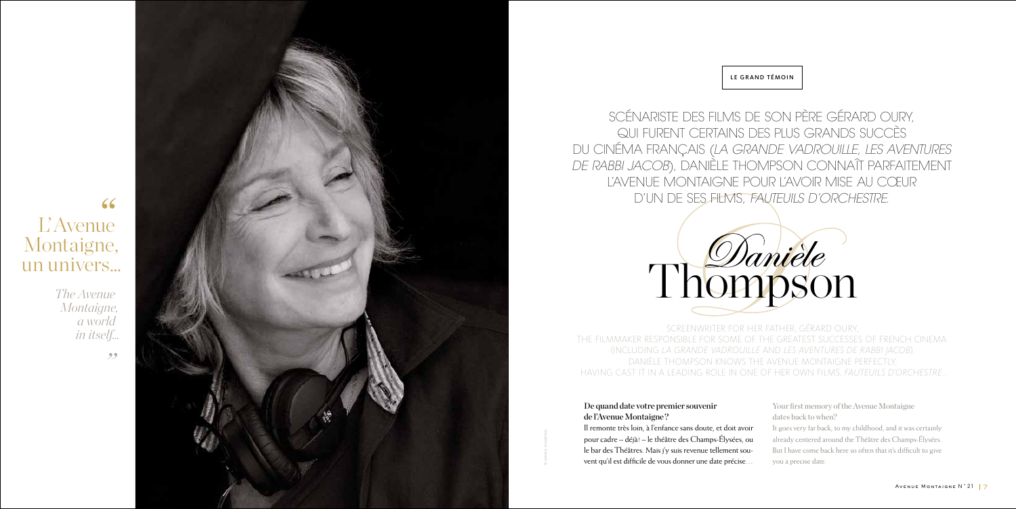Screenwriter for her father, Gérard Oury, THE FILMMAKER RESPONSIBLE FOR SOME OF THE GREATEST SUCCESSES OF FRENCH CINEMA (includin g *La Grande Vadrouill e* and *Les Aventures de Rabbi Jacob*), Danièle Thomp son know s the Avenue Montai gne perfectly, HAVING CAST IT IN A LEADING ROLE IN ONE OF HER OWN FILMS, *FAUTEUILS D'ORCHESTRE*...

Scénaris te des fil ms de s on père Gérard Oury, qui furen t cer tains des plus grands succès du ciné ma français (*La Grande Vadrouille, Les Aventures DE RABBI JACOB*), DANIELE THOMPSON CONNAIT PARFAITEMEN t t L'AVENUE MONTAIGNE POUR L'AVOIR MISE AU CŒUR d'un de ses fil ms, *Fauteui ls d'orchestre*.

# L' Avenue " Montaigne, un univers…

*The Avenue Montaigne, a world in itself…"*



#### Le grand témoin

## De quand date votre premier souvenir de l'Avenue Montaigne ?

Il remonte très loin, à l'enfance sans doute, et doit avoir pour cadre – déjà! – le théâtre des Champs-Élysées, ou le bar des Théâtres. Mais j'y suis revenue tellement sou vent qu'il est difficile de vous donner une date précise…

- Your first memory of the Avenue Montaigne dates back to when?
- It goes very far back, to my childhood, and it was certainly already centered around the Théâtre des Champs-Élysées.
- But I have come back here so often that it's difficult to give you a precise date.